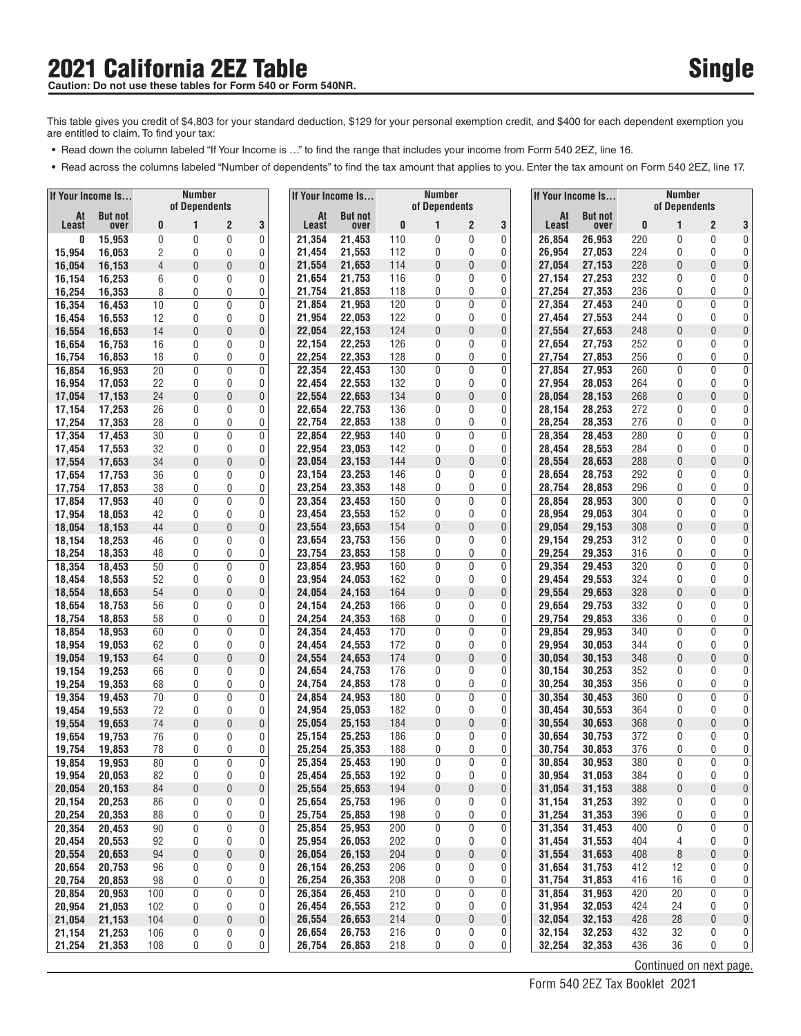### **2021 California 2EZ Table** Caution: Do not use these tables for Form 540 or Form 540NR.

- Read down the column labeled "If Your Income is ..." to find the range that includes your income from Form 540 2EZ, line 16.
- Read across the columns labeled "Number of dependents" to find the tax amount that applies to you. Enter the tax amount on Form 540 2EZ, line 17.

| If Your Income Is |                  |          | <b>Number</b> |                   |                  |                  | If Your Income Is |            | Number        |        |                  |                  | If Your Income Is |            | Number                  |                |                       |
|-------------------|------------------|----------|---------------|-------------------|------------------|------------------|-------------------|------------|---------------|--------|------------------|------------------|-------------------|------------|-------------------------|----------------|-----------------------|
| At                | <b>But not</b>   |          | of Dependents |                   |                  | At               | <b>But not</b>    |            | of Dependents |        |                  | At               | <b>But not</b>    |            | of Dependents           |                |                       |
| Least             | over             | 0        |               | 2                 | 3                | Least            | over              | 0          | 1             | 2      | 3                | Least            | over              | 0          | 1                       | $\overline{2}$ | 3                     |
| O                 | 15,953           | 0        | 0             | 0                 | 0                | 21,354           | 21,453            | 110        | 0             | 0      | 0                | 26,854           | 26,953            | 220        | 0                       | 0              | 0                     |
| 15,954            | 16,053           | 2        | 0             | 0                 | 0                | 21,454<br>21.554 | 21,553<br>21,653  | 112<br>114 | 0<br>0        | 0<br>0 | 0                | 26,954<br>27,054 | 27.053            | 224<br>228 | 0<br>0                  | 0<br>0         | 0                     |
| 16,054<br>16,154  | 16,153<br>16,253 | 4<br>6   | 0<br>0        | 0<br>0            | 0<br>0           | 21,654           | 21,753            | 116        | 0             | 0      | 0<br>0           | 27,154           | 27,153<br>27,253  | 232        | 0                       | 0              | 0<br>0                |
| 16,254            | 16,353           | 8        | 0             | 0                 | 0                | 21,754           | 21,853            | 118        | 0             | 0      | 0                | 27,254           | 27,353            | 236        | 0                       | 0              | 0                     |
| 16,354            | 16,453           | 10       | 0             | 0                 | 0                | 21,854           | 21,953            | 120        | 0             | 0      | 0                | 27,354           | 27,453            | 240        | 0                       | 0              | 0                     |
| 16,454            | 16,553           | 12       | 0             | 0                 | 0                | 21,954           | 22,053            | 122        | 0             | 0      | 0                | 27,454           | 27,553            | 244        | 0                       | 0              | 0                     |
| 16,554            | 16,653           | 14       | 0             | 0                 | 0                | 22,054           | 22,153            | 124        | 0             | 0      | 0                | 27,554           | 27,653            | 248        | 0                       | 0              | 0                     |
| 16,654            | 16,753           | 16       | 0             | 0                 | 0                | 22,154           | 22,253            | 126        | 0             | 0      | 0                | 27,654           | 27,753            | 252        | 0                       | 0              | 0                     |
| 16,754            | 16.853           | 18       | 0             | 0                 | 0                | 22,254           | 22,353            | 128        | 0             | 0      | 0                | 27,754           | 27,853            | 256        | 0                       | 0              | 0                     |
| 16,854            | 16,953           | 20       | 0             | 0                 | $\mathbf 0$      | 22,354           | 22,453            | 130        | 0             | 0      | $\mathbf 0$      | 27,854           | 27,953            | 260        | 0                       | 0              | 0                     |
| 16,954            | 17,053           | 22       | 0             | 0                 | 0                | 22,454           | 22,553            | 132        | 0             | 0      | 0                | 27,954           | 28,053            | 264        | 0                       | 0              | 0                     |
| 17,054            | 17,153           | 24       | 0             | 0                 | 0                | 22,554           | 22,653            | 134        | 0             | 0      | $\pmb{0}$        | 28,054           | 28,153            | 268        | 0                       | 0              | 0                     |
| 17,154<br>17,254  | 17,253<br>17,353 | 26<br>28 | 0<br>0        | 0<br>0            | 0<br>0           | 22,654<br>22,754 | 22,753<br>22,853  | 136<br>138 | 0<br>0        | 0<br>0 | 0<br>0           | 28,154<br>28,254 | 28,253<br>28,353  | 272<br>276 | 0<br>0                  | 0<br>0         | 0<br>0                |
| 17,354            | 17,453           | 30       | 0             | 0                 | $\mathbf 0$      | 22,854           | 22,953            | 140        | 0             | 0      | 0                | 28,354           | 28,453            | 280        | 0                       | $\mathbf{0}$   | 0                     |
| 17,454            | 17,553           | 32       | 0             | 0                 | 0                | 22,954           | 23,053            | 142        | 0             | 0      | 0                | 28,454           | 28,553            | 284        | 0                       | 0              | 0                     |
| 17,554            | 17.653           | 34       | 0             | $\mathbf{0}$      | $\bf{0}$         | 23,054           | 23,153            | 144        | 0             | 0      | $\pmb{0}$        | 28,554           | 28,653            | 288        | 0                       | 0              | 0                     |
| 17,654            | 17,753           | 36       | 0             | 0                 | 0                | 23,154           | 23,253            | 146        | 0             | 0      | 0                | 28,654           | 28,753            | 292        | 0                       | 0              | 0                     |
| 17,754            | 17,853           | 38       | 0             | 0                 | 0                | 23,254           | 23,353            | 148        | 0             | 0      | 0                | 28,754           | 28.853            | 296        | 0                       | 0              | 0                     |
| 17,854            | 17,953           | 40       | 0             | 0                 | 0                | 23,354           | 23,453            | 150        | 0             | 0      | 0                | 28,854           | 28,953            | 300        | 0                       | 0              | 0                     |
| 17,954            | 18,053           | 42       | 0             | 0                 | 0                | 23,454           | 23,553            | 152        | 0             | 0      | 0                | 28,954           | 29,053            | 304        | 0                       | 0              | 0                     |
| 18,054            | 18,153           | 44       | 0             | 0                 | 0                | 23,554           | 23,653            | 154        | 0             | 0      | 0                | 29,054           | 29,153            | 308        | 0                       | 0              | 0                     |
| 18,154            | 18,253           | 46       | 0             | 0                 | 0                | 23.654           | 23,753            | 156        | 0             | 0      | 0                | 29,154           | 29,253            | 312        | 0                       | 0              | 0                     |
| 18,254            | 18,353           | 48       | 0             | 0                 | 0                | 23,754           | 23,853            | 158        | 0             | 0      | 0                | 29,254           | 29,353            | 316        | 0                       | 0              | 0                     |
| 18,354            | 18,453           | 50       | 0             | 0<br>0            | $\mathbf 0$      | 23,854<br>23,954 | 23,953<br>24,053  | 160<br>162 | 0<br>0        | 0<br>0 | $\mathbf 0$<br>0 | 29,354<br>29,454 | 29,453            | 320<br>324 | 0<br>0                  | 0<br>0         | 0<br>0                |
| 18,454<br>18,554  | 18,553<br>18,653 | 52<br>54 | 0<br>0        | 0                 | 0<br>$\bf{0}$    | 24,054           | 24,153            | 164        | 0             | 0      | $\mathbf 0$      | 29,554           | 29,553<br>29,653  | 328        | 0                       | 0              | 0                     |
| 18,654            | 18,753           | 56       | 0             | 0                 | 0                | 24,154           | 24,253            | 166        | 0             | 0      | 0                | 29,654           | 29,753            | 332        | 0                       | 0              | 0                     |
| 18,754            | 18,853           | 58       | 0             | 0                 | 0                | 24,254           | 24,353            | 168        | 0             | 0      | 0                | 29,754           | 29,853            | 336        | 0                       | 0              | 0                     |
| 18,854            | 18,953           | 60       | 0             | 0                 | $\mathbf 0$      | 24,354           | 24,453            | 170        | 0             | 0      | 0                | 29,854           | 29,953            | 340        | 0                       | 0              | 0                     |
| 18,954            | 19,053           | 62       | 0             | 0                 | 0                | 24,454           | 24,553            | 172        | 0             | 0      | 0                | 29,954           | 30,053            | 344        | 0                       | 0              | 0                     |
| 19,054            | 19,153           | 64       | 0             | 0                 | 0                | 24,554           | 24,653            | 174        | 0             | 0      | 0                | 30,054           | 30,153            | 348        | 0                       | 0              | 0                     |
| 19,154            | 19,253           | 66       | 0             | 0                 | 0                | 24,654           | 24,753            | 176        | 0             | 0      | 0                | 30,154           | 30,253            | 352        | 0                       | 0              | 0                     |
| 19,254            | 19,353           | 68       | 0             | 0                 | 0                | 24,754           | 24,853            | 178        | 0             | 0      | 0                | 30,254           | 30,353            | 356        | 0                       | 0              | 0                     |
| 19,354            | 19,453           | 70       | 0             | $\mathbf{0}$      | 0                | 24,854           | 24,953            | 180        | 0             | 0      | 0                | 30,354           | 30,453            | 360        | 0                       | 0              | 0                     |
| 19,454            | 19,553           | 72<br>74 | 0<br>0        | 0                 | 0                | 24,954           | 25,053            | 182<br>184 | 0<br>0        | 0<br>0 | 0<br>0           | 30,454           | 30,553            | 364<br>368 | 0<br>0                  | 0<br>0         | 0<br>0                |
| 19,554<br>19,654  | 19,653<br>19,753 | 76       | 0             | 0<br>$\mathbf{0}$ | 0<br>0           | 25,054<br>25.154 | 25,153<br>25,253  | 186        | 0             | 0      | 0                | 30,554<br>30,654 | 30,653<br>30,753  | 372        | 0                       | 0              | 0                     |
| 19,754            | 19,853           | 78       | 0             | 0                 | 0                | 25,254           | 25,353            | 188        | 0             | 0      | 0                | 30,754           | 30,853            | 376        | 0                       | 0              | $\overline{0}$        |
| 19,854            | 19,953           | 80       | 0             | $\Omega$          | $\mathbf{0}$     | 25,354           | 25,453            | 190        | $\mathbf{0}$  | 0      | 0                | 30,854           | 30,953            | 380        | $\Omega$                | $\overline{0}$ | $\overline{0}$        |
| 19,954            | 20,053           | 82       | 0             | 0                 | 0                | 25,454           | 25,553            | 192        | 0             | 0      | 0                | 30,954           | 31,053            | 384        | 0                       | 0              | $\vert 0 \vert$       |
| 20,054            | 20,153           | 84       | 0             | 0                 | 0                | 25,554           | 25,653            | 194        | 0             | 0      | 0                | 31,054           | 31,153            | 388        | 0                       | $\pmb{0}$      | $\overline{0}$        |
| 20,154            | 20,253           | 86       | 0             | 0                 | 0                | 25,654           | 25,753            | 196        | 0             | 0      | 0                | 31,154           | 31,253            | 392        | 0                       | 0              | 0                     |
| 20,254            | 20,353           | 88       | 0             | 0                 | 0                | 25,754           | 25,853            | 198        | 0             | 0      | 0                | 31,254           | 31,353            | 396        | 0                       | 0              | $\overline{0}$        |
| 20,354            | 20,453           | 90       | $\mathbf 0$   | 0                 | $\pmb{0}$        | 25,854           | 25,953            | 200        | 0             | 0      | 0                | 31,354           | 31,453            | 400        | 0                       | $\mathbf 0$    | $\overline{0}$        |
| 20,454            | 20,553           | 92       | 0             | 0                 | 0                | 25,954           | 26,053            | 202        | 0             | 0      | 0                | 31,454           | 31,553            | 404        | 4                       | 0              | $\overline{0}$        |
| 20,554            | 20,653           | 94       | 0             | 0                 | $\boldsymbol{0}$ | 26,054           | 26,153            | 204        | 0             | 0      | 0                | 31,554           | 31,653            | 408        | 8                       | $\pmb{0}$      | $\vert 0 \vert$       |
| 20,654<br>20,754  | 20,753<br>20,853 | 96<br>98 | 0<br>0        | 0<br>0            | 0<br>0           | 26,154<br>26,254 | 26,253<br>26,353  | 206<br>208 | 0<br>0        | 0<br>0 | 0<br>0           | 31,654<br>31,754 | 31,753<br>31,853  | 412<br>416 | 12<br>16                | 0<br>0         | 0<br>$\boldsymbol{0}$ |
| 20,854            | 20,953           | 100      | 0             | 0                 | 0                | 26,354           | 26,453            | 210        | 0             | 0      | 0                | 31,854           | 31,953            | 420        | 20                      | $\mathbf 0$    | $\overline{0}$        |
| 20,954            | 21,053           | 102      | 0             | 0                 | 0                | 26,454           | 26,553            | 212        | 0             | 0      | 0                | 31,954           | 32,053            | 424        | 24                      | 0              | $\overline{0}$        |
| 21,054            | 21,153           | 104      | 0             | 0                 | 0                | 26,554           | 26,653            | 214        | $\pmb{0}$     | 0      | 0                | 32,054           | 32,153            | 428        | 28                      | $\pmb{0}$      | $\mathbf 0$           |
| 21,154            | 21,253           | 106      | 0             | 0                 | 0                | 26,654           | 26,753            | 216        | 0             | 0      | 0                | 32,154           | 32,253            | 432        | 32                      | 0              | $\overline{0}$        |
| 21,254            | 21,353           | 108      | 0             | 0                 | 0                | 26,754           | 26,853            | 218        | 0             | 0      | 0                | 32,254           | 32,353            | 436        | 36                      | 0              | $\vert 0 \vert$       |
|                   |                  |          |               |                   |                  |                  |                   |            |               |        |                  |                  |                   |            | Continued on next page. |                |                       |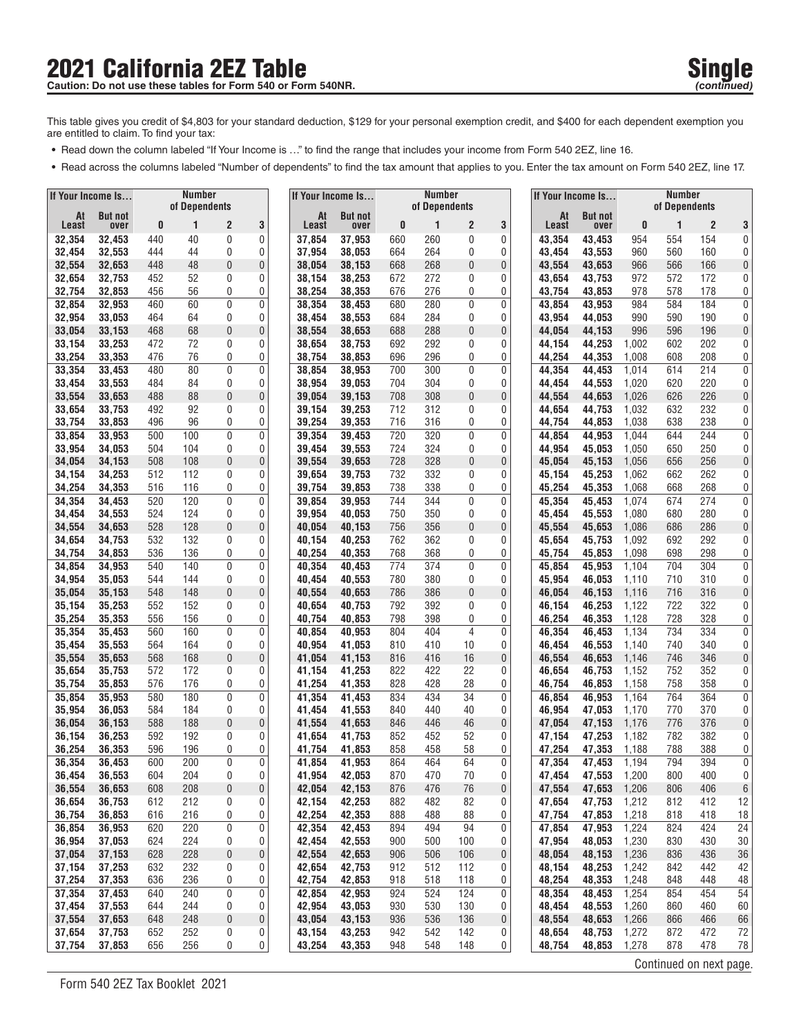# **2021 California 2EZ Table Single Single Single** Single Single Single Single Single

- **•** Read down the column labeled "If Your Income is ..." to find the range that includes your income from Form 540 2EZ, line 16.
- **•** Read across the columns labeled "Number of dependents" to find the tax amount that applies to you. Enter the tax amount on Form 540 2EZ, line 17.

| If Your Income Is |                  |            | <b>Number</b> |                   |                  |                  |    | If Your Income Is |            | <b>Number</b> |                |           | If Your Income Is |                  |                | <b>Number</b><br>of Dependents |                                |                      |
|-------------------|------------------|------------|---------------|-------------------|------------------|------------------|----|-------------------|------------|---------------|----------------|-----------|-------------------|------------------|----------------|--------------------------------|--------------------------------|----------------------|
| At                | <b>But not</b>   |            | of Dependents |                   |                  |                  | At | <b>But not</b>    |            | of Dependents |                |           | At                | <b>But not</b>   |                |                                |                                |                      |
| Least<br>32,354   | over<br>32,453   | 0<br>440   | 1<br>40       | 2<br>0            | 3<br>0           | Least<br>37,854  |    | over<br>37,953    | 0<br>660   | 1<br>260      | 2<br>0         | 3<br>0    | Least<br>43,354   | over<br>43,453   | 0<br>954       | 1<br>554                       | $\overline{2}$<br>154          | 3<br>0               |
| 32,454            | 32,553           | 444        | 44            | 0                 | 0                | 37,954           |    | 38,053            | 664        | 264           | 0              | 0         | 43,454            | 43,553           | 960            | 560                            | 160                            | 0                    |
| 32,554            | 32,653           | 448        | 48            | 0                 | 0                | 38,054           |    | 38,153            | 668        | 268           | 0              | 0         | 43,554            | 43,653           | 966            | 566                            | 166                            | 0                    |
| 32,654            | 32,753           | 452        | 52            | 0                 | 0                | 38,154           |    | 38,253            | 672        | 272           | 0              | 0         | 43,654            | 43,753           | 972            | 572                            | 172                            | 0                    |
| 32,754            | 32,853           | 456        | 56            | 0                 | 0                | 38,254           |    | 38,353            | 676        | 276           | 0              | 0         | 43,754            | 43,853           | 978            | 578                            | 178                            | 0 <sup>1</sup>       |
| 32,854            | 32,953           | 460        | 60            | 0                 | 0                | 38,354           |    | 38,453            | 680        | 280           | 0              | 0         | 43,854            | 43,953           | 984            | 584                            | 184                            | 0 <sup>1</sup>       |
| 32,954            | 33,053           | 464        | 64            | 0                 | 0                | 38,454           |    | 38,553            | 684        | 284           | 0              | 0         | 43,954            | 44,053           | 990            | 590                            | 190                            | 0                    |
| 33,054            | 33,153           | 468        | 68            | 0<br>0            | 0<br>0           | 38,554           |    | 38,653            | 688        | 288<br>292    | 0              | $\pmb{0}$ | 44,054<br>44,154  | 44,153           | 996            | 596                            | 196<br>202                     | 0<br>0               |
| 33,154<br>33,254  | 33,253<br>33,353 | 472<br>476 | 72<br>76      | 0                 | 0                | 38,654<br>38,754 |    | 38,753<br>38,853  | 692<br>696 | 296           | 0<br>0         | 0<br>0    | 44,254            | 44,253<br>44,353 | 1,002<br>1,008 | 602<br>608                     | 208                            | 0                    |
| 33,354            | 33,453           | 480        | 80            | 0                 | $\mathbf 0$      | 38,854           |    | 38.953            | 700        | 300           | 0              | 0         | 44,354            | 44,453           | 1,014          | 614                            | 214                            | 0                    |
| 33,454            | 33,553           | 484        | 84            | 0                 | 0                | 38,954           |    | 39,053            | 704        | 304           | 0              | 0         | 44,454            | 44,553           | 1,020          | 620                            | 220                            | 0                    |
| 33,554            | 33,653           | 488        | 88            | $\mathbf{0}$      | $\bf{0}$         | 39,054           |    | 39,153            | 708        | 308           | 0              | 0         | 44,554            | 44,653           | 1,026          | 626                            | 226                            | 0                    |
| 33,654            | 33,753           | 492        | 92            | 0                 | 0                | 39,154           |    | 39,253            | 712        | 312           | 0              | 0         | 44,654            | 44,753           | 1,032          | 632                            | 232                            | 0                    |
| 33,754            | 33,853           | 496        | 96            | 0                 | 0                | 39,254           |    | 39,353            | 716        | 316           | 0              | 0         | 44,754            | 44,853           | 1,038          | 638                            | 238                            | $\vert 0 \vert$      |
| 33,854            | 33,953           | 500        | 100           | 0                 | $\mathbf 0$      | 39,354           |    | 39,453            | 720        | 320           | 0              | 0         | 44,854            | 44,953           | 1,044          | 644                            | 244                            | 0                    |
| 33,954            | 34,053           | 504        | 104           | 0                 | 0                | 39,454           |    | 39,553            | 724        | 324           | 0              | 0         | 44,954            | 45.053           | 1,050          | 650                            | 250                            | 0 <sup>1</sup>       |
| 34,054            | 34,153           | 508        | 108           | $\mathbf 0$       | $\bf{0}$         | 39,554           |    | 39,653            | 728        | 328           | 0              | 0         | 45,054            | 45,153           | 1,056          | 656                            | 256                            | 0                    |
| 34,154<br>34,254  | 34,253<br>34,353 | 512<br>516 | 112<br>116    | 0<br>0            | 0<br>0           | 39,654<br>39,754 |    | 39,753<br>39,853  | 732<br>738 | 332<br>338    | 0<br>0         | 0<br>0    | 45,154<br>45,254  | 45,253<br>45,353 | 1,062<br>1,068 | 662<br>668                     | 262<br>268                     | 0<br>$\vert 0 \vert$ |
| 34,354            | 34,453           | 520        | 120           | 0                 | 0                | 39,854           |    | 39,953            | 744        | 344           | 0              | 0         | 45,354            | 45,453           | 1,074          | 674                            | 274                            | 0 <sup>1</sup>       |
| 34,454            | 34,553           | 524        | 124           | 0                 | 0                | 39,954           |    | 40.053            | 750        | 350           | 0              | 0         | 45,454            | 45,553           | 1,080          | 680                            | 280                            | 0                    |
| 34,554            | 34,653           | 528        | 128           | 0                 | 0                | 40,054           |    | 40,153            | 756        | 356           | 0              | 0         | 45,554            | 45,653           | 1,086          | 686                            | 286                            | 0                    |
| 34,654            | 34,753           | 532        | 132           | 0                 | 0                | 40,154           |    | 40,253            | 762        | 362           | 0              | 0         | 45,654            | 45,753           | 1,092          | 692                            | 292                            | 0                    |
| 34,754            | 34,853           | 536        | 136           | 0                 | 0                | 40,254           |    | 40,353            | 768        | 368           | 0              | 0         | 45,754            | 45,853           | 1,098          | 698                            | 298                            | 0                    |
| 34,854            | 34,953           | 540        | 140           | 0                 | $\bf{0}$         | 40,354           |    | 40,453            | 774        | 374           | 0              | 0         | 45,854            | 45,953           | 1,104          | 704                            | 304                            | 0                    |
| 34,954            | 35,053           | 544        | 144           | 0                 | 0                | 40,454           |    | 40,553            | 780        | 380           | 0              | 0         | 45,954            | 46,053           | 1,110          | 710                            | 310                            | 0                    |
| 35,054<br>35,154  | 35,153<br>35,253 | 548<br>552 | 148<br>152    | 0<br>0            | $\bf{0}$<br>0    | 40,554<br>40,654 |    | 40,653<br>40,753  | 786<br>792 | 386<br>392    | 0<br>0         | 0<br>0    | 46,054<br>46,154  | 46,153<br>46,253 | 1,116<br>1,122 | 716<br>722                     | 316<br>322                     | 0<br>0               |
| 35,254            | 35,353           | 556        | 156           | 0                 | 0                | 40,754           |    | 40,853            | 798        | 398           | 0              | 0         | 46,254            | 46,353           | 1,128          | 728                            | 328                            | 0 <sup>1</sup>       |
| 35,354            | 35,453           | 560        | 160           | 0                 | $\mathbf 0$      | 40,854           |    | 40,953            | 804        | 404           | $\overline{4}$ | 0         | 46,354            | 46,453           | 1,134          | 734                            | 334                            | 0                    |
| 35,454            | 35,553           | 564        | 164           | 0                 | 0                | 40,954           |    | 41,053            | 810        | 410           | 10             | 0         | 46,454            | 46,553           | 1,140          | 740                            | 340                            | 0                    |
| 35,554            | 35,653           | 568        | 168           | 0                 | 0                | 41,054           |    | 41,153            | 816        | 416           | 16             | $\pmb{0}$ | 46,554            | 46,653           | 1,146          | 746                            | 346                            | 0                    |
| 35,654            | 35,753           | 572        | 172           | 0                 | 0                | 41,154           |    | 41,253            | 822        | 422           | 22             | 0         | 46,654            | 46,753           | 1,152          | 752                            | 352                            | 0                    |
| 35,754            | 35,853           | 576        | 176           | 0                 | 0                | 41,254           |    | 41,353            | 828        | 428           | 28             | 0         | 46,754            | 46,853           | 1,158          | 758                            | 358                            | $\overline{0}$       |
| 35,854<br>35,954  | 35,953           | 580<br>584 | 180<br>184    | $\mathbf{0}$<br>0 | 0<br>0           | 41,354<br>41,454 |    | 41,453            | 834<br>840 | 434<br>440    | 34<br>40       | 0<br>0    | 46,854<br>46,954  | 46,953<br>47,053 | 1,164          | 764<br>770                     | 364<br>370                     | 0 <sup>1</sup><br>0  |
| 36,054            | 36,053<br>36,153 | 588        | 188           | $\mathbf 0$       | $\boldsymbol{0}$ | 41,554           |    | 41,553<br>41,653  | 846        | 446           | 46             | 0         | 47,054            | 47,153           | 1,170<br>1,176 | 776                            | 376                            | 0                    |
| 36,154            | 36,253           | 592        | 192           | 0                 | 0                | 41,654           |    | 41,753            | 852        | 452           | 52             | 0         | 47,154            | 47,253           | 1,182          | 782                            | 382                            | 0 <sup>1</sup>       |
| 36,254            | 36,353           | 596        | 196           | 0                 | 0                | 41,754           |    | 41,853            | 858        | 458           | 58             | 0         | 47,254            | 47,353           | 1,188          | 788                            | 388                            | 0                    |
| 36,354            | 36,453           | 600        | 200           | $\mathbf{0}$      | $\mathbf{0}$     | 41,854           |    | 41,953            | 864        | 464           | 64             | 0         | 47,354            | 47.453           | 1,194          | 794                            | 394                            | $\overline{0}$       |
| 36,454            | 36,553           | 604        | 204           | 0                 | 0                | 41,954           |    | 42,053            | 870        | 470           | 70             | 0         | 47,454            | 47,553           | 1,200          | 800                            | 400                            | $\vert 0 \vert$      |
| 36,554            | 36,653           | 608        | 208           | 0                 | $\pmb{0}$        | 42.054           |    | 42,153            | 876        | 476           | 76             | 0         | 47,554            | 47,653           | 1,206          | 806                            | 406                            | 6                    |
| 36,654            | 36,753           | 612        | 212           | 0                 | 0                | 42,154           |    | 42,253            | 882        | 482           | 82             | 0         | 47,654            | 47,753           | 1,212          | 812                            | 412                            | 12                   |
| 36,754            | 36,853           | 616        | 216           | 0                 | 0                | 42,254           |    | 42,353            | 888        | 488           | 88             | 0         | 47,754            | 47,853           | 1,218          | 818                            | 418                            | 18                   |
| 36,854<br>36,954  | 36,953<br>37,053 | 620<br>624 | 220<br>224    | 0<br>0            | $\pmb{0}$<br>0   | 42,354<br>42,454 |    | 42,453<br>42,553  | 894<br>900 | 494<br>500    | 94<br>100      | 0<br>0    | 47,854<br>47,954  | 47,953<br>48,053 | 1,224<br>1,230 | 824<br>830                     | 424<br>430                     | 24<br>30             |
| 37,054            | 37,153           | 628        | 228           | 0                 | $\bf{0}$         | 42,554           |    | 42,653            | 906        | 506           | 106            | 0         | 48,054            | 48,153           | 1,236          | 836                            | 436                            | 36                   |
| 37,154            | 37,253           | 632        | 232           | 0                 | 0                | 42,654           |    | 42,753            | 912        | 512           | 112            | 0         | 48,154            | 48,253           | 1,242          | 842                            | 442                            | 42                   |
| 37,254            | 37,353           | 636        | 236           | 0                 | 0                | 42,754           |    | 42,853            | 918        | 518           | 118            | 0         | 48,254            | 48,353           | 1,248          | 848                            | 448                            | 48                   |
| 37,354            | 37,453           | 640        | 240           | 0                 | 0                | 42,854           |    | 42,953            | 924        | 524           | 124            | 0         | 48,354            | 48,453           | 1,254          | 854                            | 454                            | 54                   |
| 37,454            | 37,553           | 644        | 244           | 0                 | 0                | 42,954           |    | 43,053            | 930        | 530           | 130            | 0         | 48,454            | 48,553           | 1,260          | 860                            | 460                            | 60                   |
| 37,554            | 37,653           | 648        | 248           | 0                 | 0                | 43,054           |    | 43,153            | 936        | 536           | 136            | 0         | 48,554            | 48,653           | 1,266          | 866                            | 466                            | 66                   |
| 37,654            | 37,753           | 652        | 252           | 0                 | 0                | 43,154           |    | 43,253            | 942        | 542           | 142            | 0         | 48,654            | 48,753           | 1,272          | 872                            | 472                            | 72                   |
| 37,754            | 37,853           | 656        | 256           | 0                 | 0                | 43,254           |    | 43,353            | 948        | 548           | 148            | 0         | 48,754            | 48,853           | 1,278          | 878                            | 478<br>Continued on next page. | 78                   |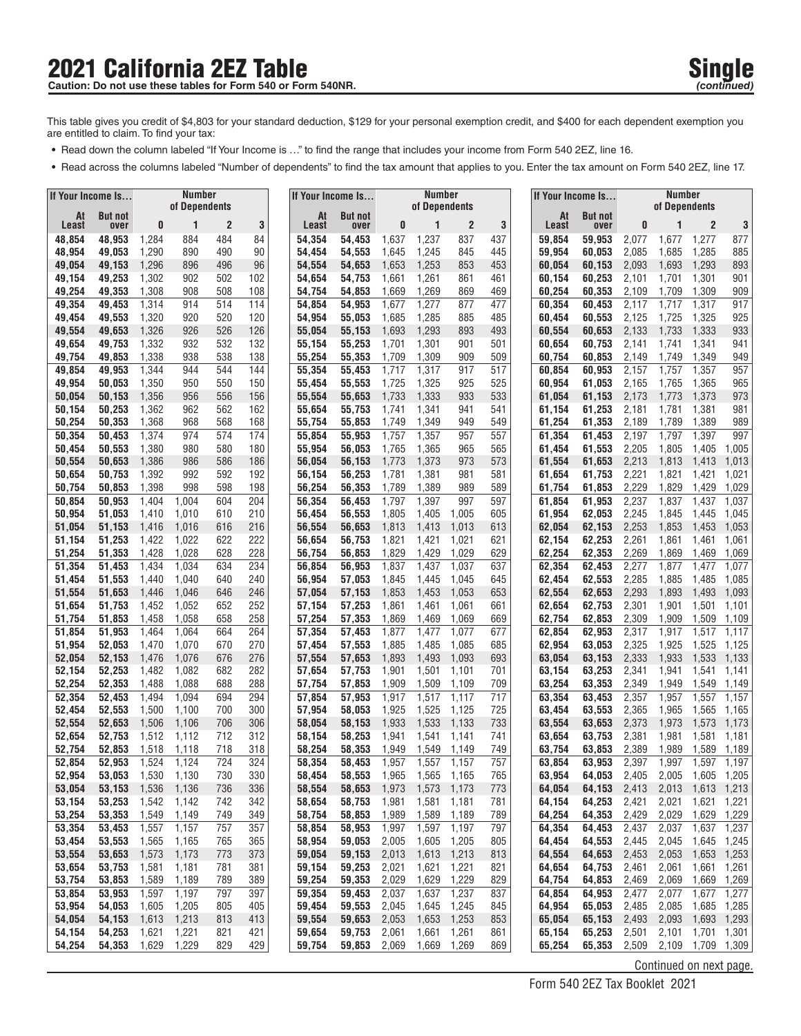## **2021 California 2EZ Table Single Single Single Single** Caution: Do not use these tables for Form 540 or Form 540NR.

- **•** Read down the column labeled "If Your Income is ..." to find the range that includes your income from Form 540 2EZ, line 16.
- **•** Read across the columns labeled "Number of dependents" to find the tax amount that applies to you. Enter the tax amount on Form 540 2EZ, line 17.

| If Your Income Is |                        |                |                    |                | If Your Income Is |                  | <b>Number</b><br>of Dependents |                        |                | If Your Income Is |                |            | Number<br>of Dependents |                        |                |                         |                      |                |
|-------------------|------------------------|----------------|--------------------|----------------|-------------------|------------------|--------------------------------|------------------------|----------------|-------------------|----------------|------------|-------------------------|------------------------|----------------|-------------------------|----------------------|----------------|
| At<br>Least       | <b>But not</b><br>over | 0              | of Dependents<br>1 | $\overline{2}$ | 3                 |                  | At<br>Least                    | <b>But not</b><br>over | 0              | 1                 | $\overline{c}$ | 3          | At<br>Least             | <b>But not</b><br>over | 0              | 1                       | $\overline{2}$       | 3              |
| 48,854            | 48,953                 | 1,284          | 884                | 484            | 84                | 54,354           |                                | 54,453                 | 1,637          | 1,237             | 837            | 437        | 59,854                  | 59,953                 | 2,077          | 1,677                   | 1,277                | 877            |
| 48,954            | 49,053                 | 1,290          | 890                | 490            | 90                | 54,454           |                                | 54,553                 | 1,645          | 1,245             | 845            | 445        | 59.954                  | 60,053                 | 2,085          | 1,685                   | 1,285                | 885            |
| 49,054            | 49,153                 | 1,296          | 896                | 496            | 96                | 54,554           |                                | 54,653                 | 1,653          | 1,253             | 853            | 453        | 60,054                  | 60,153                 | 2,093          | 1,693                   | 1,293                | 893            |
| 49,154            | 49,253                 | 1,302          | 902                | 502            | 102               | 54,654           |                                | 54,753                 | 1,661          | 1,261             | 861            | 461        | 60,154                  | 60,253                 | 2,101          | 1,701                   | 1,301                | 901            |
| 49,254            | 49,353                 | 1,308          | 908<br>914         | 508<br>514     | 108<br>114        | 54,754           |                                | 54,853                 | 1,669          | 1,269             | 869<br>877     | 469<br>477 | 60,254                  | 60,353                 | 2,109<br>2,117 | 1,709<br>1,717          | 1,309                | 909<br>917     |
| 49,354<br>49,454  | 49,453<br>49,553       | 1,314<br>1,320 | 920                | 520            | 120               | 54,854<br>54,954 |                                | 54,953<br>55,053       | 1,677<br>1,685 | 1,277<br>1,285    | 885            | 485        | 60,354<br>60,454        | 60,453<br>60,553       | 2,125          | 1,725                   | 1,317<br>1,325       | 925            |
| 49,554            | 49,653                 | 1,326          | 926                | 526            | 126               | 55,054           |                                | 55,153                 | 1,693          | 1,293             | 893            | 493        | 60,554                  | 60,653                 | 2,133          | 1,733                   | 1,333                | 933            |
| 49,654            | 49,753                 | 1,332          | 932                | 532            | 132               | 55,154           |                                | 55,253                 | 1,701          | 1,301             | 901            | 501        | 60,654                  | 60,753                 | 2,141          | 1,741                   | 1,341                | 941            |
| 49,754            | 49,853                 | 1,338          | 938                | 538            | 138               | 55,254           |                                | 55,353                 | 1,709          | 1,309             | 909            | 509        | 60,754                  | 60,853                 | 2,149          | 1,749                   | 1,349                | 949            |
| 49,854            | 49,953                 | 1,344          | 944                | 544            | 144               | 55,354           |                                | 55,453                 | 1,717          | 1,317             | 917            | 517        | 60,854                  | 60,953                 | 2,157          | 1,757                   | 1,357                | 957            |
| 49,954<br>50,054  | 50,053<br>50,153       | 1,350<br>1,356 | 950<br>956         | 550<br>556     | 150<br>156        | 55,454<br>55,554 |                                | 55,553<br>55,653       | 1,725<br>1,733 | 1,325<br>1,333    | 925<br>933     | 525<br>533 | 60,954<br>61,054        | 61,053<br>61,153       | 2,165<br>2,173 | 1,765<br>1,773          | 1,365<br>1,373       | 965<br>973     |
| 50,154            | 50,253                 | 1,362          | 962                | 562            | 162               | 55,654           |                                | 55,753                 | 1,741          | 1,341             | 941            | 541        | 61,154                  | 61,253                 | 2,181          | 1,781                   | 1,381                | 981            |
| 50,254            | 50,353                 | 1,368          | 968                | 568            | 168               | 55,754           |                                | 55,853                 | 1,749          | 1,349             | 949            | 549        | 61,254                  | 61,353                 | 2,189          | 1,789                   | 1,389                | 989            |
| 50,354            | 50,453                 | 1,374          | 974                | 574            | 174               | 55,854           |                                | 55,953                 | 1,757          | 1,357             | 957            | 557        | 61,354                  | 61,453                 | 2,197          | 1,797                   | 1,397                | 997            |
| 50,454            | 50,553                 | 1,380          | 980                | 580            | 180               | 55,954           |                                | 56,053                 | 1,765          | 1,365             | 965            | 565        | 61,454                  | 61,553                 | 2,205          | 1,805                   | 1,405                | 1,005          |
| 50,554            | 50,653                 | 1,386          | 986                | 586            | 186               | 56,054           |                                | 56.153                 | 1,773          | 1,373             | 973            | 573        | 61,554                  | 61,653                 | 2,213          | 1,813                   | 1,413                | 1,013          |
| 50,654<br>50,754  | 50,753<br>50,853       | 1,392<br>1,398 | 992<br>998         | 592<br>598     | 192<br>198        | 56,154<br>56,254 |                                | 56,253<br>56,353       | 1,781<br>1,789 | 1,381<br>1,389    | 981<br>989     | 581<br>589 | 61,654<br>61,754        | 61,753<br>61,853       | 2,221<br>2,229 | 1,821<br>1,829          | 1,421<br>1,429       | 1,021<br>1,029 |
| 50,854            | 50,953                 | 1,404          | 1,004              | 604            | 204               | 56,354           |                                | 56,453                 | 1,797          | 1,397             | 997            | 597        | 61,854                  | 61,953                 | 2,237          | 1,837                   | 1,437                | 1,037          |
| 50,954            | 51,053                 | 1,410          | 1,010              | 610            | 210               | 56,454           |                                | 56,553                 | 1,805          | 1,405             | 1,005          | 605        | 61,954                  | 62,053                 | 2,245          | 1,845                   | 1,445                | 1,045          |
| 51,054            | 51,153                 | 1,416          | 1,016              | 616            | 216               | 56,554           |                                | 56,653                 | 1,813          | 1,413             | 1,013          | 613        | 62,054                  | 62,153                 | 2,253          | 1,853                   | 1,453                | 1,053          |
| 51,154            | 51,253                 | 1,422          | 1,022              | 622            | 222               | 56,654           |                                | 56,753                 | 1,821          | 1,421             | 1,021          | 621        | 62,154                  | 62,253                 | 2,261          | 1,861                   | 1,461                | 1,061          |
| 51,254            | 51,353                 | 1,428          | 1,028              | 628            | 228               | 56,754           |                                | 56,853                 | 1,829          | 1,429             | 1,029          | 629        | 62,254                  | 62,353                 | 2,269          | 1,869                   | 1,469                | 1,069          |
| 51,354<br>51,454  | 51,453<br>51,553       | 1,434<br>1,440 | 1,034<br>1,040     | 634<br>640     | 234<br>240        | 56,854<br>56,954 |                                | 56,953<br>57,053       | 1,837<br>1,845 | 1,437<br>1,445    | 1,037<br>1,045 | 637<br>645 | 62,354<br>62,454        | 62,453<br>62,553       | 2,277<br>2,285 | 1,877<br>1,885          | 1,477<br>1,485       | 1,077<br>1,085 |
| 51,554            | 51,653                 | 1,446          | 1,046              | 646            | 246               | 57,054           |                                | 57,153                 | 1,853          | 1,453             | 1,053          | 653        | 62,554                  | 62,653                 | 2,293          | 1,893                   | 1,493                | 1,093          |
| 51,654            | 51,753                 | 1,452          | 1,052              | 652            | 252               | 57,154           |                                | 57,253                 | 1,861          | 1,461             | 1,061          | 661        | 62,654                  | 62,753                 | 2,301          | 1,901                   | 1,501                | 1,101          |
| 51,754            | 51,853                 | 1,458          | 1,058              | 658            | 258               | 57,254           |                                | 57,353                 | 1,869          | 1,469             | 1,069          | 669        | 62,754                  | 62,853                 | 2,309          | 1,909                   | 1,509                | 1,109          |
| 51,854            | 51,953                 | 1,464          | 1,064              | 664            | 264               | 57,354           |                                | 57,453                 | 1,877          | 1,477             | 1,077          | 677        | 62,854                  | 62,953                 | 2,317          | 1,917                   | 1,517                | 1,117          |
| 51,954<br>52,054  | 52,053<br>52,153       | 1,470<br>1,476 | 1,070<br>1,076     | 670<br>676     | 270<br>276        | 57,454<br>57,554 |                                | 57,553<br>57,653       | 1,885<br>1,893 | 1,485<br>1,493    | 1,085<br>1,093 | 685<br>693 | 62,954<br>63,054        | 63,053<br>63,153       | 2,325<br>2,333 | 1,925<br>1,933          | 1,525<br>1,533       | 1,125<br>1,133 |
| 52,154            | 52,253                 | 1,482          | 1,082              | 682            | 282               | 57,654           |                                | 57,753                 | 1,901          | 1,501             | 1,101          | 701        | 63,154                  | 63,253                 | 2,341          | 1,941                   | 1,541                | 1,141          |
| 52,254            | 52,353                 | 1,488          | 1,088              | 688            | 288               | 57,754           |                                | 57,853                 | 1,909          | 1,509             | 1,109          | 709        | 63,254                  | 63,353                 | 2,349          | 1,949                   | 1,549                | 1,149          |
| 52,354            | 52,453                 | 1,494          | 1,094              | 694            | 294               | 57,854           |                                | 57,953                 | 1,917          | 1,517             | 1,117          | 717        | 63,354                  | 63,453                 | 2,357          | 1,957                   | 1,557                | 1,157          |
| 52,454            | 52,553                 | 1,500          | 1,100              | 700            | 300               | 57,954           |                                | 58,053                 | 1,925          | 1,525             | 1,125          | 725        | 63,454                  | 63,553                 | 2,365          | 1,965                   | 1,565                | 1,165          |
| 52,554            | 52,653                 | 1,506          | 1,106              | 706            | 306               | 58,054           |                                | 58,153                 | 1,933          | 1,533             | 1,133          | 733        | 63,554                  | 63,653                 | 2,373          | 1,973                   | 1,573                | 1,173          |
| 52,654<br>52,754  | 52,753<br>52,853       | 1,512<br>1,518 | 1,112<br>1,118     | 712<br>718     | 312<br>318        | 58,154<br>58,254 |                                | 58,253<br>58,353       | 1,941<br>1,949 | 1,541<br>1,549    | 1,141<br>1,149 | 741<br>749 | 63,654<br>63,754        | 63,753<br>63,853       | 2,381<br>2,389 | 1,981<br>1,989          | 1,581<br>1,589       | 1,181<br>1,189 |
| 52,854            | 52,953                 | 1,524          | 1,124              | 724            | 324               | 58,354           |                                | 58.453                 | 1,957          | 1,557             | 1,157          | 757        | 63,854                  | 63,953                 | 2,397          | 1,997                   | 1,597                | 1,197          |
| 52,954            | 53,053                 | 1,530          | 1,130              | 730            | 330               | 58,454           |                                | 58,553                 | 1,965          | 1,565             | 1,165          | 765        | 63,954                  | 64,053                 | 2,405          | 2,005                   | 1,605 1,205          |                |
| 53,054            | 53,153                 | 1,536          | 1,136              | 736            | 336               | 58,554           |                                | 58,653                 | 1,973          | 1,573             | 1,173          | 773        | 64,054                  | 64,153                 | 2,413          | 2,013                   | 1,613 1,213          |                |
| 53,154            | 53,253                 | 1,542          | 1,142              | 742            | 342               | 58,654           |                                | 58,753                 | 1,981          | 1,581             | 1,181          | 781        | 64,154                  | 64,253                 | 2,421          | 2,021                   | 1,621                | 1,221          |
| 53,254            | 53,353                 | 1,549          | 1,149              | 749            | 349               | 58,754           |                                | 58,853                 | 1,989          | 1,589             | 1,189          | 789        | 64,254                  | 64,353                 | 2,429          | 2,029                   | 1,629                | 1,229          |
| 53,354<br>53,454  | 53,453<br>53,553       | 1,557<br>1,565 | 1,157<br>1,165     | 757<br>765     | 357<br>365        | 58,854<br>58,954 |                                | 58,953<br>59,053       | 1,997<br>2,005 | 1,597<br>1,605    | 1,197<br>1,205 | 797<br>805 | 64,354<br>64,454        | 64,453<br>64,553       | 2,437<br>2,445 | 2,037<br>2,045          | 1,637<br>1,645       | 1,237<br>1,245 |
| 53,554            | 53,653                 | 1,573          | 1,173              | 773            | 373               | 59,054           |                                | 59,153                 | 2,013          | 1,613             | 1,213          | 813        | 64,554                  | 64,653                 | 2,453          | 2,053                   | 1,653 1,253          |                |
| 53,654            | 53,753                 | 1,581          | 1,181              | 781            | 381               | 59,154           |                                | 59,253                 | 2,021          | 1,621             | 1,221          | 821        | 64,654                  | 64,753                 | 2,461          | 2,061                   | 1,661                | 1,261          |
| 53,754            | 53,853                 | 1,589          | 1,189              | 789            | 389               | 59,254           |                                | 59,353                 | 2,029          | 1,629             | 1,229          | 829        | 64,754                  | 64,853                 | 2,469          | 2,069                   | 1,669                | 1,269          |
| 53,854            | 53,953                 | 1,597          | 1,197              | 797            | 397               | 59,354           |                                | 59,453                 | 2,037          | 1,637             | 1,237          | 837        | 64,854                  | 64,953                 | 2,477          | 2,077                   | 1,677                | 1,277          |
| 53,954            | 54,053                 | 1,605          | 1,205              | 805            | 405               | 59,454           |                                | 59,553                 | 2,045          | 1,645             | 1,245          | 845        | 64,954                  | 65,053                 | 2,485          | 2,085                   | 1,685                | 1,285          |
| 54,054<br>54,154  | 54,153<br>54,253       | 1,613<br>1,621 | 1,213<br>1,221     | 813<br>821     | 413<br>421        | 59,554<br>59,654 |                                | 59,653<br>59,753       | 2,053<br>2,061 | 1,653<br>1,661    | 1,253<br>1,261 | 853<br>861 | 65,054<br>65,154        | 65,153<br>65,253       | 2,493<br>2,501 | 2,093<br>2,101          | 1,693<br>1,701 1,301 | 1,293          |
| 54,254            | 54,353                 | 1,629          | 1,229              | 829            | 429               | 59,754           |                                | 59,853                 | 2,069          | 1,669             | 1,269          | 869        | 65,254                  | 65,353                 | 2,509          | 2,109                   | 1,709 1,309          |                |
|                   |                        |                |                    |                |                   |                  |                                |                        |                |                   |                |            |                         |                        |                | Continued on next page. |                      |                |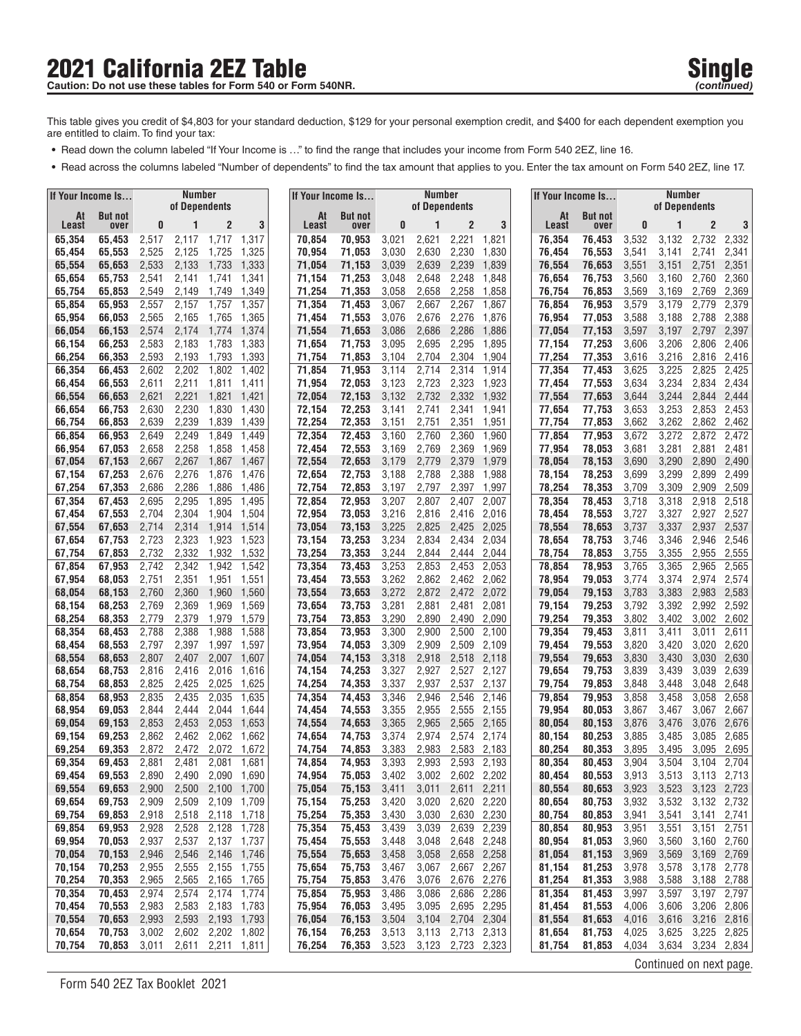# **2021 California 2EZ Table Single Single Single** Single Single Single Single Single

- **•** Read down the column labeled "If Your Income is ..." to find the range that includes your income from Form 540 2EZ, line 16.
- **•** Read across the columns labeled "Number of dependents" to find the tax amount that applies to you. Enter the tax amount on Form 540 2EZ, line 17.

| l If Your Income Is |                  | <b>Number</b><br>of Dependents |                |                |                |  | If Your Income Is |                  |                | <b>Number</b>  |                |                | If Your Income Is |                  | <b>Number</b><br>of Dependents |                         |                |                |
|---------------------|------------------|--------------------------------|----------------|----------------|----------------|--|-------------------|------------------|----------------|----------------|----------------|----------------|-------------------|------------------|--------------------------------|-------------------------|----------------|----------------|
| At                  | <b>But not</b>   |                                |                |                |                |  | At                | <b>But not</b>   |                | of Dependents  |                |                | At                | <b>But not</b>   |                                |                         |                |                |
| Least               | over             | 0                              |                | 2              | 3              |  | Least             | over             | 0              |                | $\overline{2}$ | 3              | Least             | over             | 0                              |                         | $\overline{2}$ | 3              |
| 65,354<br>65,454    | 65,453<br>65,553 | 2,517<br>2,525                 | 2,117<br>2,125 | 1,717<br>1,725 | 1,317<br>1,325 |  | 70,854<br>70,954  | 70,953<br>71.053 | 3,021<br>3,030 | 2,621<br>2,630 | 2,221<br>2,230 | 1,821<br>1,830 | 76,354<br>76.454  | 76,453<br>76,553 | 3,532<br>3,541                 | 3,132<br>3,141          | 2,732<br>2,741 | 2,332<br>2,341 |
| 65,554              | 65,653           | 2,533                          | 2,133          | 1,733          | 1,333          |  | 71,054            | 71,153           | 3,039          | 2,639          | 2,239          | 1,839          | 76,554            | 76,653           | 3,551                          | 3,151                   | 2,751          | 2,351          |
| 65,654              | 65,753           | 2,541                          | 2,141          | 1,741          | 1,341          |  | 71,154            | 71,253           | 3,048          | 2,648          | 2,248          | 1,848          | 76,654            | 76,753           | 3,560                          | 3,160                   | 2,760          | 2,360          |
| 65,754              | 65,853           | 2,549                          | 2,149          | 1,749          | 1,349          |  | 71,254            | 71,353           | 3,058          | 2,658          | 2,258          | 1,858          | 76,754            | 76,853           | 3,569                          | 3,169                   | 2,769          | 2,369          |
| 65,854              | 65,953           | 2,557                          | 2,157          | 1,757          | 1,357          |  | 71,354            | 71,453           | 3,067          | 2,667          | 2,267          | 1,867          | 76,854            | 76,953           | 3,579                          | 3,179                   | 2,779          | 2,379          |
| 65,954              | 66,053           | 2,565                          | 2,165          | 1,765          | 1,365          |  | 71,454            | 71,553           | 3,076          | 2,676          | 2,276          | 1,876          | 76,954            | 77,053           | 3,588                          | 3,188                   | 2,788          | 2,388          |
| 66,054              | 66,153           | 2,574                          | 2,174          | 1,774          | 1,374          |  | 71,554            | 71,653           | 3,086          | 2,686          | 2,286          | 1,886          | 77,054            | 77,153           | 3,597                          | 3,197                   | 2,797          | 2,397          |
| 66,154              | 66,253           | 2,583                          | 2,183          | 1,783          | 1,383          |  | 71,654            | 71,753           | 3,095          | 2,695          | 2,295          | 1,895          | 77,154            | 77,253           | 3,606                          | 3,206                   | 2,806          | 2,406          |
| 66,254              | 66,353           | 2,593<br>2,602                 | 2,193<br>2,202 | 1,793<br>1,802 | 1,393          |  | 71,754<br>71,854  | 71,853<br>71.953 | 3,104<br>3,114 | 2,704<br>2,714 | 2,304<br>2,314 | 1,904<br>1,914 | 77,254<br>77,354  | 77,353           | 3,616<br>3,625                 | 3,216<br>3,225          | 2,816<br>2,825 | 2,416<br>2,425 |
| 66,354<br>66,454    | 66,453<br>66,553 | 2,611                          | 2,211          | 1,811          | 1,402<br>1,411 |  | 71,954            | 72,053           | 3,123          | 2,723          | 2,323          | 1,923          | 77,454            | 77,453<br>77,553 | 3,634                          | 3,234                   | 2,834          | 2,434          |
| 66,554              | 66,653           | 2,621                          | 2,221          | 1,821          | 1,421          |  | 72,054            | 72,153           | 3,132          | 2,732          | 2,332          | 1,932          | 77,554            | 77,653           | 3,644                          | 3,244                   | 2,844          | 2,444          |
| 66,654              | 66,753           | 2,630                          | 2,230          | 1,830          | 1,430          |  | 72,154            | 72,253           | 3,141          | 2,741          | 2,341          | 1,941          | 77,654            | 77,753           | 3,653                          | 3,253                   | 2,853          | 2,453          |
| 66,754              | 66,853           | 2,639                          | 2,239          | 1,839          | 1,439          |  | 72,254            | 72,353           | 3,151          | 2,751          | 2,351          | 1,951          | 77,754            | 77,853           | 3,662                          | 3,262                   | 2,862          | 2,462          |
| 66,854              | 66,953           | 2,649                          | 2,249          | 1,849          | 1,449          |  | 72,354            | 72,453           | 3,160          | 2,760          | 2,360          | 1,960          | 77,854            | 77,953           | 3,672                          | 3,272                   | 2,872          | 2,472          |
| 66,954              | 67,053           | 2,658                          | 2,258          | 1,858          | 1,458          |  | 72,454            | 72,553           | 3,169          | 2,769          | 2,369          | 1,969          | 77,954            | 78,053           | 3,681                          | 3,281                   | 2,881          | 2,481          |
| 67,054              | 67,153           | 2,667                          | 2,267          | 1,867          | 1,467          |  | 72,554            | 72,653           | 3,179          | 2,779          | 2,379          | 1,979          | 78,054            | 78,153           | 3,690                          | 3,290                   | 2,890          | 2,490          |
| 67,154              | 67,253           | 2,676                          | 2,276          | 1,876          | 1,476          |  | 72,654            | 72,753           | 3,188          | 2,788          | 2,388          | 1,988          | 78,154            | 78,253           | 3,699                          | 3,299                   | 2,899          | 2,499          |
| 67,254              | 67,353           | 2,686                          | 2,286          | 1,886          | 1,486          |  | 72,754            | 72,853           | 3,197          | 2,797          | 2,397          | 1,997          | 78,254            | 78,353           | 3,709                          | 3,309                   | 2,909          | 2,509          |
| 67,354<br>67,454    | 67,453<br>67,553 | 2,695<br>2,704                 | 2,295<br>2,304 | 1,895<br>1,904 | 1,495<br>1,504 |  | 72,854<br>72,954  | 72,953<br>73,053 | 3,207<br>3,216 | 2,807<br>2,816 | 2,407<br>2,416 | 2,007<br>2,016 | 78,354<br>78,454  | 78,453<br>78,553 | 3,718<br>3,727                 | 3,318<br>3,327          | 2,918<br>2,927 | 2,518<br>2,527 |
| 67,554              | 67,653           | 2,714                          | 2,314          | 1,914          | 1,514          |  | 73,054            | 73,153           | 3,225          | 2,825          | 2,425          | 2,025          | 78,554            | 78,653           | 3,737                          | 3,337                   | 2,937          | 2,537          |
| 67,654              | 67,753           | 2,723                          | 2,323          | 1,923          | 1,523          |  | 73,154            | 73,253           | 3,234          | 2,834          | 2,434          | 2,034          | 78,654            | 78,753           | 3,746                          | 3,346                   | 2,946          | 2,546          |
| 67,754              | 67,853           | 2,732                          | 2,332          | 1,932          | 1,532          |  | 73,254            | 73,353           | 3,244          | 2,844          | 2,444          | 2,044          | 78,754            | 78,853           | 3,755                          | 3,355                   | 2,955          | 2,555          |
| 67,854              | 67,953           | 2,742                          | 2,342          | 1,942          | 1,542          |  | 73,354            | 73,453           | 3,253          | 2,853          | 2,453          | 2,053          | 78,854            | 78,953           | 3,765                          | 3,365                   | 2,965          | 2,565          |
| 67,954              | 68,053           | 2,751                          | 2,351          | 1,951          | 1,551          |  | 73,454            | 73,553           | 3,262          | 2,862          | 2,462          | 2,062          | 78,954            | 79,053           | 3,774                          | 3,374                   | 2,974          | 2,574          |
| 68,054              | 68,153           | 2,760                          | 2,360          | 1,960          | 1,560          |  | 73,554            | 73,653           | 3,272          | 2,872          | 2,472          | 2,072          | 79,054            | 79,153           | 3,783                          | 3,383                   | 2,983          | 2,583          |
| 68,154              | 68,253           | 2,769                          | 2,369          | 1,969          | 1,569          |  | 73,654            | 73,753           | 3,281          | 2,881          | 2,481          | 2,081          | 79,154            | 79,253           | 3,792                          | 3,392                   | 2,992          | 2,592          |
| 68,254              | 68,353           | 2,779                          | 2,379          | 1,979          | 1,579          |  | 73,754            | 73,853           | 3,290          | 2,890          | 2,490          | 2,090          | 79,254            | 79,353           | 3,802                          | 3,402                   | 3,002          | 2,602          |
| 68,354<br>68,454    | 68,453<br>68,553 | 2,788<br>2,797                 | 2,388<br>2,397 | 1,988<br>1,997 | 1,588<br>1,597 |  | 73,854<br>73,954  | 73,953<br>74,053 | 3,300<br>3,309 | 2,900<br>2,909 | 2,500<br>2,509 | 2,100<br>2,109 | 79,354<br>79,454  | 79,453<br>79,553 | 3,811<br>3,820                 | 3,411<br>3,420          | 3,011<br>3,020 | 2,611<br>2,620 |
| 68,554              | 68,653           | 2,807                          | 2,407          | 2,007          | 1,607          |  | 74,054            | 74,153           | 3,318          | 2,918          | 2,518          | 2,118          | 79,554            | 79,653           | 3,830                          | 3,430                   | 3,030          | 2,630          |
| 68,654              | 68,753           | 2,816                          | 2,416          | 2,016          | 1,616          |  | 74,154            | 74,253           | 3,327          | 2,927          | 2,527          | 2,127          | 79,654            | 79,753           | 3,839                          | 3,439                   | 3,039          | 2,639          |
| 68,754              | 68,853           | 2,825                          | 2,425          | 2,025          | 1,625          |  | 74,254            | 74,353           | 3,337          | 2,937          | 2,537          | 2,137          | 79,754            | 79,853           | 3,848                          | 3,448                   | 3,048          | 2,648          |
| 68,854              | 68,953           | 2,835                          | 2,435          | 2,035          | 1,635          |  | 74,354            | 74,453           | 3,346          | 2,946          | 2,546          | 2,146          | 79,854            | 79,953           | 3,858                          | 3,458                   | 3,058          | 2,658          |
| 68,954              | 69,053           | 2,844                          | 2,444          | 2,044          | 1,644          |  | 74,454            | 74,553           | 3,355          | 2,955          | 2,555          | 2,155          | 79,954            | 80,053           | 3,867                          | 3,467                   | 3,067          | 2,667          |
| 69,054              | 69,153           | 2,853                          | 2,453          | 2,053          | 1,653          |  | 74,554            | 74,653           | 3,365          | 2,965          | 2,565          | 2,165          | 80,054            | 80,153           | 3,876                          | 3,476                   | 3,076          | 2,676          |
| 69,154              | 69,253           | 2,862                          | 2,462          | 2,062          | 1,662          |  | 74,654            | 74,753           | 3,374          | 2,974          | 2,574          | 2,174          | 80,154            | 80,253           | 3,885                          | 3,485                   | 3,085          | 2,685          |
| 69,254<br>69,354    | 69,353<br>69.453 | 2,872<br>2,881                 | 2,472<br>2,481 | 2,072<br>2,081 | 1,672<br>1,681 |  | 74,754<br>74,854  | 74,853<br>74,953 | 3,383<br>3,393 | 2,983<br>2,993 | 2,583<br>2,593 | 2,183<br>2,193 | 80,254<br>80,354  | 80,353<br>80,453 | 3,895<br>3,904                 | 3,495<br>3,504          | 3,095<br>3,104 | 2,695<br>2,704 |
| 69,454              | 69,553           | 2,890                          | 2,490          |                | 2,090 1,690    |  | 74,954            | 75,053           | 3,402          | 3,002          |                | 2,602 2,202    | 80,454            | 80,553           | 3,913                          | 3,513                   | 3,113 2,713    |                |
| 69,554              | 69,653           | 2,900                          | 2,500          |                | 2,100 1,700    |  | 75,054            | 75,153           | 3,411          | 3,011          | 2,611 2,211    |                | 80,554            | 80,653           | 3,923                          | 3,523                   | 3,123 2,723    |                |
| 69,654              | 69,753           | 2,909                          | 2,509          | 2,109          | 1,709          |  | 75,154            | 75,253           | 3,420          | 3,020          | 2,620          | 2,220          | 80,654            | 80,753           | 3,932                          | 3,532                   | 3,132 2,732    |                |
| 69,754              | 69,853           | 2,918                          | 2,518          | 2,118          | 1,718          |  | 75,254            | 75,353           | 3,430          | 3,030          | 2,630          | 2,230          | 80,754            | 80,853           | 3,941                          | 3,541                   | 3,141          | 2,741          |
| 69,854              | 69,953           | 2,928                          | 2,528          | 2,128          | 1,728          |  | 75,354            | 75,453           | 3,439          | 3,039          | 2,639          | 2,239          | 80,854            | 80,953           | 3,951                          | 3,551                   | 3,151          | 2,751          |
| 69,954              | 70,053           | 2,937                          | 2,537          | 2,137          | 1,737          |  | 75,454            | 75,553           | 3,448          | 3,048          | 2,648          | 2,248          | 80,954            | 81,053           | 3,960                          | 3,560                   | 3,160          | 2,760          |
| 70,054              | 70,153           | 2,946                          | 2,546          | 2,146          | 1,746          |  | 75,554            | 75,653           | 3,458          | 3,058          |                | 2,658 2,258    | 81,054            | 81,153           | 3,969                          | 3,569                   | 3,169 2,769    |                |
| 70,154              | 70,253           | 2,955                          | 2,555          |                | 2,155 1,755    |  | 75,654            | 75,753           | 3,467          | 3,067          | 2,667 2,267    |                | 81,154            | 81,253           | 3,978                          | 3,578                   | 3,178          | 2,778          |
| 70,254              | 70,353<br>70,453 | 2,965                          | 2,565<br>2,574 | 2,165<br>2,174 | 1,765<br>1,774 |  | 75,754<br>75,854  | 75,853           | 3,476<br>3,486 | 3,076          | 2,676          | 2,276<br>2,286 | 81,254<br>81,354  | 81,353<br>81,453 | 3,988                          | 3,588                   | 3,188<br>3,197 | 2,788<br>2,797 |
| 70,354<br>70,454    | 70,553           | 2,974<br>2,983                 | 2,583          | 2,183 1,783    |                |  | 75,954            | 75,953<br>76,053 | 3,495          | 3,086<br>3,095 | 2,686          | 2,695 2,295    | 81,454            | 81,553           | 3,997<br>4,006                 | 3,597<br>3,606          | 3,206 2,806    |                |
| 70,554              | 70,653           | 2,993                          | 2,593          |                | 2,193 1,793    |  | 76,054            | 76,153           | 3,504          | 3,104          |                | 2,704 2,304    | 81,554            | 81,653           | 4,016                          | 3,616                   | 3,216 2,816    |                |
| 70,654              | 70,753           | 3,002                          | 2,602          | 2,202 1,802    |                |  | 76,154            | 76,253           | 3,513          | 3,113          |                | 2,713 2,313    | 81,654            | 81,753           | 4,025                          | 3,625                   | 3,225 2,825    |                |
| 70,754              | 70,853           | 3,011                          | 2,611          |                | 2,211 1,811    |  | 76,254            | 76,353           | 3,523          | 3,123          |                | 2,723 2,323    | 81,754            | 81,853           | 4,034                          | 3,634                   | 3,234 2,834    |                |
|                     |                  |                                |                |                |                |  |                   |                  |                |                |                |                |                   |                  |                                | Continued on next page. |                |                |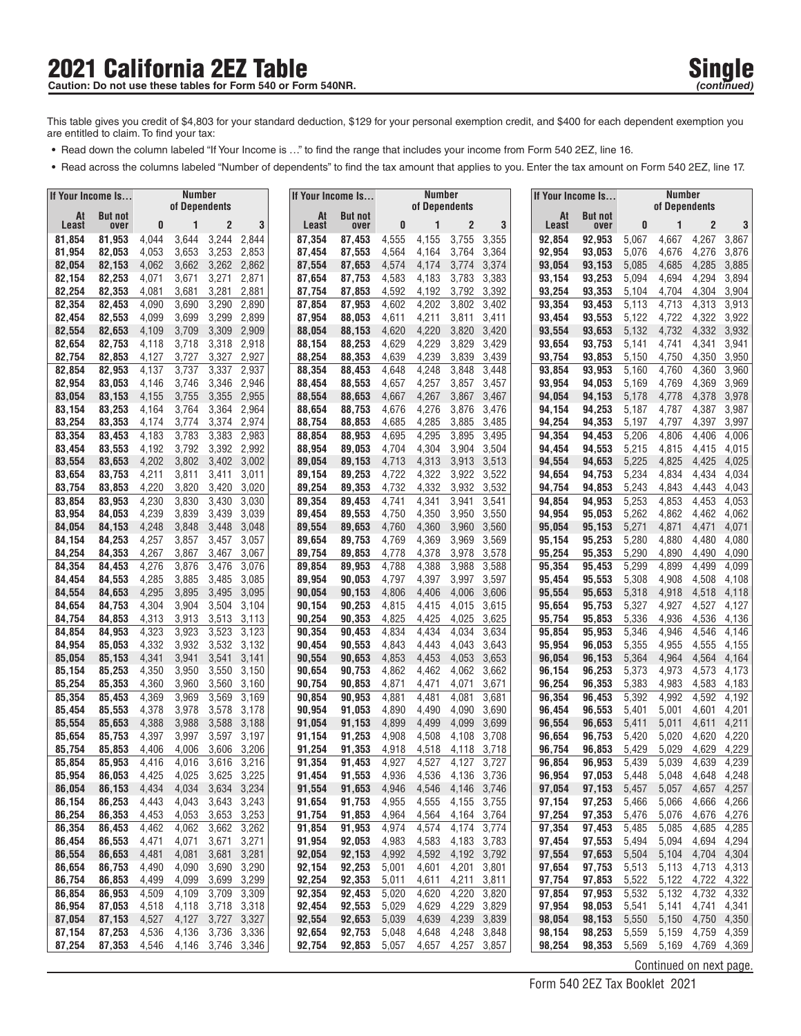### **2021 California 2EZ Table Single Single Single Single** Caution: Do not use these tables for Form 540 or Form 540NR.

- **•** Read down the column labeled "If Your Income is ..." to find the range that includes your income from Form 540 2EZ, line 16.
- **•** Read across the columns labeled "Number of dependents" to find the tax amount that applies to you. Enter the tax amount on Form 540 2EZ, line 17.

| If Your Income Is |                        | Number<br>of Dependents |                |                |                            |  | If Your Income Is |                        |                | <b>Number</b><br>of Dependents |                      |                | lf Your Income Is… |                        |                | Number<br>of Dependents |                            |                |
|-------------------|------------------------|-------------------------|----------------|----------------|----------------------------|--|-------------------|------------------------|----------------|--------------------------------|----------------------|----------------|--------------------|------------------------|----------------|-------------------------|----------------------------|----------------|
| At<br>Least       | <b>But not</b><br>over | 0                       | 1              | 2              | 3                          |  | At<br>Least       | <b>But not</b><br>over | 0              |                                | $\overline{2}$       | 3              | At<br>Least        | <b>But not</b><br>over | 0              |                         | $\overline{2}$             | 3              |
| 81,854            | 81,953                 | 4,044                   | 3,644          | 3,244          | 2,844                      |  | 87,354            | 87,453                 | 4,555          | 4,155                          | 3,755                | 3,355          | 92,854             | 92,953                 | 5,067          | 4,667                   | 4,267                      | 3,867          |
| 81,954            | 82,053                 | 4,053                   | 3,653          | 3,253          | 2,853                      |  | 87,454            | 87,553                 | 4,564          | 4,164                          | 3,764                | 3,364          | 92,954             | 93,053                 | 5,076          | 4,676                   | 4,276                      | 3,876          |
| 82,054            | 82,153                 | 4,062                   | 3,662          | 3,262          | 2,862                      |  | 87,554            | 87,653                 | 4,574          | 4,174                          | 3,774                | 3,374          | 93,054             | 93,153                 | 5,085          | 4,685                   | 4,285                      | 3,885          |
| 82,154            | 82,253                 | 4,071                   | 3,671          | 3,271          | 2,871                      |  | 87,654            | 87,753                 | 4,583          | 4,183                          | 3,783                | 3,383          | 93,154             | 93,253                 | 5,094          | 4,694                   | 4,294                      | 3,894          |
| 82,254            | 82,353                 | 4,081                   | 3,681<br>3,690 | 3,281          | 2,881                      |  | 87,754            | 87,853                 | 4,592          | 4,192                          | 3,792<br>3,802       | 3,392          | 93,254             | 93,353                 | 5,104          | 4,704<br>4,713          | 4,304                      | 3,904          |
| 82,354<br>82,454  | 82,453<br>82,553       | 4,090<br>4,099          | 3,699          | 3,290<br>3,299 | 2,890<br>2,899             |  | 87,854<br>87,954  | 87,953<br>88,053       | 4,602<br>4,611 | 4,202<br>4,211                 | 3,811                | 3,402<br>3,411 | 93,354<br>93,454   | 93,453<br>93,553       | 5,113<br>5,122 | 4,722                   | 4,313<br>4,322             | 3,913<br>3,922 |
| 82,554            | 82,653                 | 4,109                   | 3,709          | 3,309          | 2,909                      |  | 88,054            | 88,153                 | 4,620          | 4,220                          | 3,820                | 3,420          | 93,554             | 93,653                 | 5,132          | 4,732                   | 4,332                      | 3,932          |
| 82,654            | 82,753                 | 4,118                   | 3,718          | 3,318          | 2,918                      |  | 88,154            | 88,253                 | 4,629          | 4,229                          | 3,829                | 3,429          | 93,654             | 93,753                 | 5,141          | 4,741                   | 4,341                      | 3,941          |
| 82,754            | 82,853                 | 4,127                   | 3,727          | 3,327          | 2,927                      |  | 88,254            | 88,353                 | 4,639          | 4,239                          | 3,839                | 3,439          | 93,754             | 93,853                 | 5,150          | 4,750                   | 4,350                      | 3,950          |
| 82,854            | 82.953                 | 4,137                   | 3,737          | 3,337          | 2,937                      |  | 88,354            | 88,453                 | 4,648          | 4,248                          | 3,848                | 3,448          | 93,854             | 93,953                 | 5,160          | 4,760                   | 4,360                      | 3,960          |
| 82,954            | 83,053                 | 4,146                   | 3,746          | 3,346          | 2,946                      |  | 88,454            | 88,553                 | 4,657          | 4,257                          | 3,857                | 3,457          | 93,954             | 94,053                 | 5,169          | 4,769                   | 4,369                      | 3,969          |
| 83,054<br>83,154  | 83,153<br>83,253       | 4,155<br>4,164          | 3,755<br>3,764 | 3,355<br>3,364 | 2,955<br>2,964             |  | 88,554<br>88,654  | 88,653<br>88,753       | 4,667<br>4,676 | 4,267<br>4,276                 | 3,867<br>3,876       | 3,467<br>3,476 | 94,054<br>94,154   | 94,153<br>94,253       | 5,178<br>5,187 | 4,778<br>4,787          | 4,378<br>4,387             | 3,978<br>3,987 |
| 83,254            | 83,353                 | 4,174                   | 3,774          | 3,374          | 2,974                      |  | 88,754            | 88,853                 | 4,685          | 4,285                          | 3,885                | 3,485          | 94,254             | 94,353                 | 5,197          | 4,797                   | 4,397                      | 3,997          |
| 83,354            | 83,453                 | 4,183                   | 3,783          | 3,383          | 2,983                      |  | 88,854            | 88,953                 | 4,695          | 4,295                          | 3,895                | 3,495          | 94,354             | 94,453                 | 5,206          | 4,806                   | 4,406                      | 4,006          |
| 83,454            | 83,553                 | 4,192                   | 3,792          | 3,392          | 2,992                      |  | 88,954            | 89,053                 | 4,704          | 4,304                          | 3,904                | 3,504          | 94,454             | 94,553                 | 5,215          | 4,815                   | 4,415                      | 4,015          |
| 83,554            | 83,653                 | 4,202                   | 3,802          | 3,402          | 3,002                      |  | 89,054            | 89,153                 | 4,713          | 4,313                          | 3,913                | 3,513          | 94,554             | 94,653                 | 5,225          | 4,825                   | 4,425                      | 4,025          |
| 83,654            | 83,753                 | 4,211                   | 3,811          | 3,411          | 3,011                      |  | 89,154            | 89,253                 | 4,722          | 4,322                          | 3,922                | 3,522          | 94,654             | 94,753                 | 5,234          | 4,834                   | 4,434                      | 4,034          |
| 83,754<br>83,854  | 83,853<br>83,953       | 4,220<br>4,230          | 3,820<br>3,830 | 3,420<br>3,430 | 3,020<br>3,030             |  | 89,254<br>89,354  | 89,353<br>89,453       | 4,732<br>4,741 | 4,332<br>4,341                 | 3,932<br>3,941       | 3,532<br>3,541 | 94,754<br>94,854   | 94,853<br>94,953       | 5,243<br>5,253 | 4,843<br>4,853          | 4,443<br>4,453             | 4,043<br>4,053 |
| 83,954            | 84,053                 | 4,239                   | 3,839          | 3,439          | 3,039                      |  | 89,454            | 89,553                 | 4,750          | 4,350                          | 3,950                | 3,550          | 94,954             | 95,053                 | 5,262          | 4,862                   | 4,462                      | 4,062          |
| 84,054            | 84,153                 | 4,248                   | 3,848          | 3,448          | 3,048                      |  | 89,554            | 89,653                 | 4,760          | 4,360                          | 3,960                | 3,560          | 95,054             | 95,153                 | 5,271          | 4,871                   | 4,471                      | 4,071          |
| 84,154            | 84,253                 | 4,257                   | 3,857          | 3,457          | 3,057                      |  | 89,654            | 89,753                 | 4,769          | 4,369                          | 3,969                | 3,569          | 95,154             | 95,253                 | 5,280          | 4,880                   | 4,480                      | 4,080          |
| 84,254            | 84,353                 | 4,267                   | 3,867          | 3,467          | 3,067                      |  | 89,754            | 89,853                 | 4,778          | 4,378                          | 3,978                | 3,578          | 95,254             | 95,353                 | 5,290          | 4,890                   | 4,490                      | 4,090          |
| 84,354            | 84,453                 | 4,276                   | 3,876          | 3,476          | 3,076                      |  | 89,854            | 89,953                 | 4,788          | 4,388                          | 3,988                | 3,588          | 95,354             | 95,453                 | 5,299          | 4,899                   | 4,499                      | 4,099          |
| 84,454            | 84,553                 | 4,285                   | 3,885          | 3,485          | 3,085                      |  | 89,954            | 90,053                 | 4,797          | 4,397                          | 3,997                | 3,597          | 95,454             | 95,553                 | 5,308          | 4,908                   | 4,508                      | 4,108          |
| 84,554<br>84,654  | 84,653<br>84,753       | 4,295<br>4,304          | 3,895<br>3,904 | 3,495<br>3,504 | 3,095<br>3,104             |  | 90,054<br>90,154  | 90,153<br>90,253       | 4,806<br>4,815 | 4,406<br>4,415                 | 4,006<br>4,015       | 3,606<br>3,615 | 95,554<br>95,654   | 95,653<br>95,753       | 5,318<br>5,327 | 4,918<br>4,927          | 4,518<br>4,527             | 4,118<br>4,127 |
| 84,754            | 84,853                 | 4,313                   | 3,913          | 3,513          | 3,113                      |  | 90,254            | 90,353                 | 4,825          | 4,425                          | 4,025                | 3,625          | 95,754             | 95,853                 | 5,336          | 4,936                   | 4,536                      | 4,136          |
| 84,854            | 84,953                 | 4,323                   | 3,923          | 3,523          | 3,123                      |  | 90,354            | 90,453                 | 4,834          | 4,434                          | 4,034                | 3,634          | 95,854             | 95,953                 | 5,346          | 4,946                   | 4,546                      | 4,146          |
| 84,954            | 85,053                 | 4,332                   | 3,932          | 3,532          | 3,132                      |  | 90,454            | 90,553                 | 4,843          | 4,443                          | 4,043                | 3,643          | 95,954             | 96,053                 | 5,355          | 4,955                   | 4,555                      | 4,155          |
| 85,054            | 85,153                 | 4,341                   | 3,941          | 3,541          | 3,141                      |  | 90,554            | 90,653                 | 4,853          | 4,453                          | 4,053                | 3,653          | 96,054             | 96,153                 | 5,364          | 4,964                   | 4,564                      | 4,164          |
| 85,154<br>85,254  | 85,253<br>85,353       | 4,350<br>4,360          | 3,950<br>3,960 | 3,550<br>3,560 | 3,150<br>3,160             |  | 90,654<br>90,754  | 90,753<br>90,853       | 4,862<br>4,871 | 4,462<br>4,471                 | 4,062<br>4,071       | 3,662<br>3,671 | 96,154<br>96,254   | 96,253<br>96,353       | 5,373<br>5,383 | 4,973<br>4,983          | 4,573<br>4,583             | 4,173<br>4,183 |
| 85,354            | 85,453                 | 4,369                   | 3,969          | 3,569          | 3,169                      |  | 90,854            | 90,953                 | 4,881          | 4,481                          | 4,081                | 3,681          | 96,354             | 96,453                 | 5,392          | 4,992                   | 4,592                      | 4,192          |
| 85,454            | 85,553                 | 4,378                   | 3,978          | 3,578          | 3,178                      |  | 90,954            | 91,053                 | 4,890          | 4,490                          | 4,090                | 3,690          | 96,454             | 96,553                 | 5,401          | 5,001                   | 4,601                      | 4,201          |
| 85,554            | 85,653                 | 4,388                   | 3,988          | 3,588          | 3,188                      |  | 91,054            | 91,153                 | 4,899          | 4,499                          | 4,099                | 3,699          | 96,554             | 96,653                 | 5,411          | 5,011                   | 4,611                      | 4,211          |
| 85,654            | 85,753                 | 4,397                   | 3,997          | 3,597          | 3,197                      |  | 91,154            | 91,253                 | 4,908          | 4,508                          | 4,108                | 3,708          | 96,654             | 96,753                 | 5,420          | 5,020                   | 4,620                      | 4,220          |
| 85,754            | 85,853                 | 4,406                   | 4,006          | 3,606          | 3,206                      |  | 91,254            | 91,353                 | 4,918          | 4,518                          | 4,118                | 3,718          | 96,754             | 96,853                 | 5,429          | 5,029                   | 4,629                      | 4,229          |
| 85,854<br>85,954  | 85,953<br>86,053       | 4,416<br>4,425          | 4,016<br>4,025 | 3,616<br>3,625 | 3,216<br>3,225             |  | 91,354<br>91,454  | 91,453<br>91,553       | 4,927<br>4,936 | 4,527<br>4,536                 | 4,127<br>4,136       | 3,727<br>3,736 | 96,854<br>96,954   | 96,953<br>97,053       | 5,439<br>5,448 | 5,039<br>5,048          | 4,639<br>4,648             | 4,239<br>4,248 |
| 86,054            | 86,153                 | 4,434                   | 4,034          | 3,634          | 3,234                      |  | 91,554            | 91,653                 | 4,946          | 4,546                          | 4,146                | 3,746          | 97,054             | 97,153                 | 5,457          | 5,057                   | 4,657                      | 4,257          |
| 86,154            | 86,253                 | 4,443                   | 4,043          | 3,643          | 3,243                      |  | 91,654            | 91,753                 | 4,955          | 4,555                          | 4,155                | 3,755          | 97,154             | 97,253                 | 5,466          | 5,066                   | 4,666                      | 4,266          |
| 86,254            | 86,353                 | 4,453                   | 4,053          | 3,653          | 3,253                      |  | 91,754            | 91,853                 | 4,964          | 4,564                          |                      | 4,164 3,764    | 97,254             | 97,353                 | 5,476          | 5,076                   | 4,676                      | 4,276          |
| 86,354            | 86,453                 | 4,462                   | 4,062          | 3,662          | 3,262                      |  | 91,854            | 91,953                 | 4,974          | 4,574                          | 4,174                | 3,774          | 97,354             | 97,453                 | 5,485          | 5,085                   | 4,685                      | 4,285          |
| 86,454            | 86,553                 | 4,471                   | 4,071          | 3,671          | 3,271                      |  | 91,954            | 92,053                 | 4,983          | 4,583                          | 4,183                | 3,783          | 97,454             | 97,553                 | 5,494          | 5,094                   | 4,694                      | 4,294          |
| 86,554<br>86,654  | 86,653<br>86,753       | 4,481<br>4,490          | 4,081<br>4,090 |                | 3,681 3,281<br>3,690 3,290 |  | 92,054<br>92,154  | 92,153<br>92,253       | 4,992<br>5,001 | 4,592<br>4,601                 | 4,192 3,792<br>4,201 | 3,801          | 97,554<br>97,654   | 97,653<br>97,753       | 5,504<br>5,513 | 5,104<br>5,113          | 4,704 4,304<br>4,713 4,313 |                |
| 86,754            | 86,853                 | 4,499                   | 4,099          | 3,699          | 3,299                      |  | 92,254            | 92,353                 | 5,011          | 4,611                          | 4,211                | 3,811          | 97,754             | 97,853                 | 5,522          | 5,122                   | 4,722                      | 4,322          |
| 86,854            | 86,953                 | 4,509                   | 4,109          |                | 3,709 3,309                |  | 92,354            | 92,453                 | 5,020          | 4,620                          | 4,220                | 3,820          | 97,854             | 97,953                 | 5,532          | 5,132                   | 4,732                      | 4,332          |
| 86,954            | 87,053                 | 4,518                   | 4,118          | 3,718          | 3,318                      |  | 92,454            | 92,553                 | 5,029          | 4,629                          | 4,229                | 3,829          | 97,954             | 98,053                 | 5,541          | 5,141                   | 4,741                      | 4,341          |
| 87,054            | 87,153                 | 4,527                   | 4,127          | 3,727 3,327    |                            |  | 92,554            | 92,653                 | 5,039          | 4,639                          | 4,239                | 3,839          | 98,054             | 98,153                 | 5,550          | 5,150                   | 4,750 4,350                |                |
| 87,154            | 87,253                 | 4,536                   | 4,136          |                | 3,736 3,336                |  | 92,654            | 92,753                 | 5,048          | 4,648                          | 4,248                | 3,848          | 98,154             | 98,253                 | 5,559          | 5,159                   | 4,759                      | 4,359          |
| 87,254            | 87,353                 | 4,546                   | 4,146          |                | 3,746 3,346                |  | 92,754            | 92,853                 | 5,057          | 4,657                          | 4,257                | 3,857          | 98,254             | 98,353                 | 5,569          | 5,169                   | 4,769                      | 4,369          |
|                   |                        |                         |                |                |                            |  |                   |                        |                |                                |                      |                |                    |                        |                | Continued on next page. |                            |                |